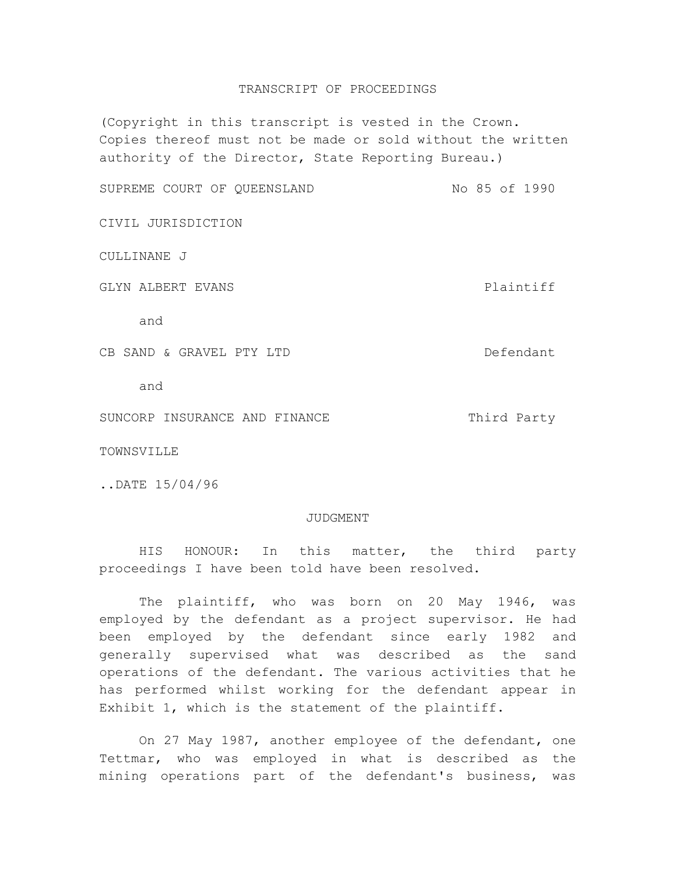## TRANSCRIPT OF PROCEEDINGS

(Copyright in this transcript is vested in the Crown. Copies thereof must not be made or sold without the written authority of the Director, State Reporting Bureau.)

SUPREME COURT OF QUEENSLAND NO 85 of 1990

CIVIL JURISDICTION

## CULLINANE J

GLYN ALBERT EVANS **Plaintiff** 

and

CB SAND & GRAVEL PTY LTD DEFendant

and

SUNCORP INSURANCE AND FINANCE THIRD Third Party

TOWNSVILLE

..DATE 15/04/96

## JUDGMENT

HIS HONOUR: In this matter, the third party proceedings I have been told have been resolved.

The plaintiff, who was born on 20 May 1946, was employed by the defendant as a project supervisor. He had been employed by the defendant since early 1982 and generally supervised what was described as the sand operations of the defendant. The various activities that he has performed whilst working for the defendant appear in Exhibit 1, which is the statement of the plaintiff.

On 27 May 1987, another employee of the defendant, one Tettmar, who was employed in what is described as the mining operations part of the defendant's business, was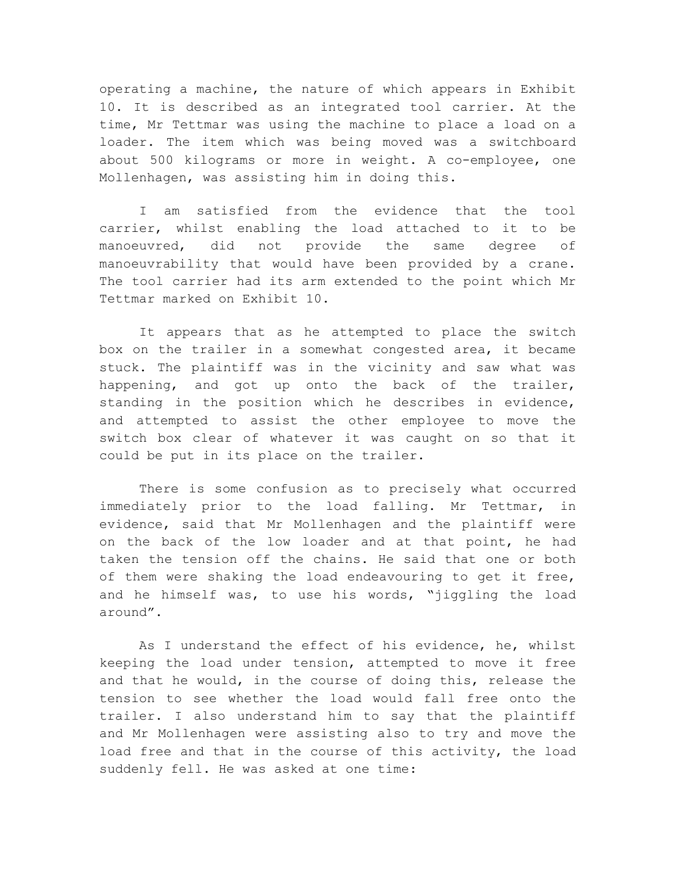operating a machine, the nature of which appears in Exhibit 10. It is described as an integrated tool carrier. At the time, Mr Tettmar was using the machine to place a load on a loader. The item which was being moved was a switchboard about 500 kilograms or more in weight. A co-employee, one Mollenhagen, was assisting him in doing this.

I am satisfied from the evidence that the tool carrier, whilst enabling the load attached to it to be manoeuvred, did not provide the same degree of manoeuvrability that would have been provided by a crane. The tool carrier had its arm extended to the point which Mr Tettmar marked on Exhibit 10.

It appears that as he attempted to place the switch box on the trailer in a somewhat congested area, it became stuck. The plaintiff was in the vicinity and saw what was happening, and got up onto the back of the trailer, standing in the position which he describes in evidence, and attempted to assist the other employee to move the switch box clear of whatever it was caught on so that it could be put in its place on the trailer.

There is some confusion as to precisely what occurred immediately prior to the load falling. Mr Tettmar, in evidence, said that Mr Mollenhagen and the plaintiff were on the back of the low loader and at that point, he had taken the tension off the chains. He said that one or both of them were shaking the load endeavouring to get it free, and he himself was, to use his words, "jiggling the load around".

As I understand the effect of his evidence, he, whilst keeping the load under tension, attempted to move it free and that he would, in the course of doing this, release the tension to see whether the load would fall free onto the trailer. I also understand him to say that the plaintiff and Mr Mollenhagen were assisting also to try and move the load free and that in the course of this activity, the load suddenly fell. He was asked at one time: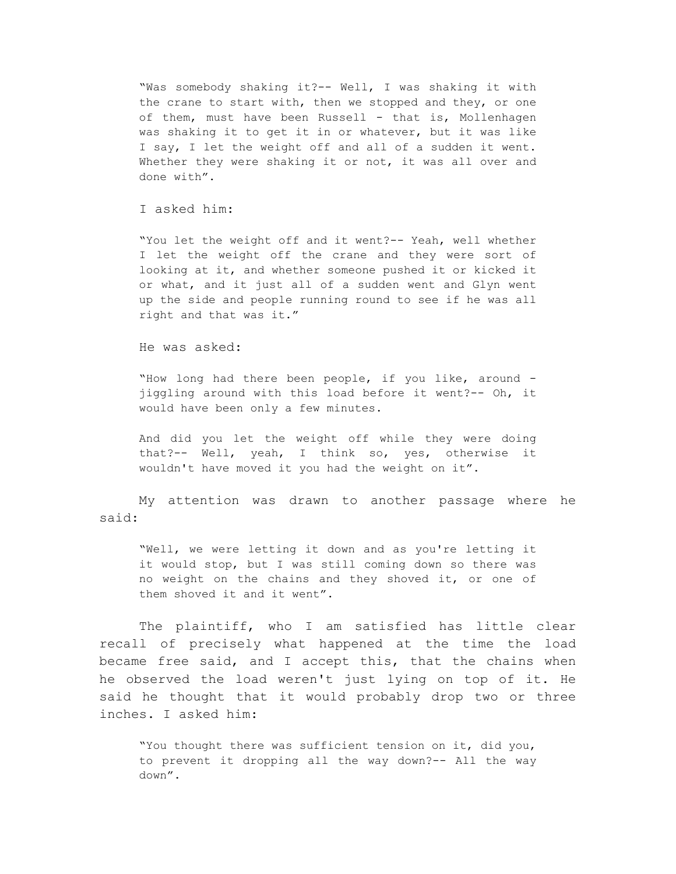"Was somebody shaking it?-- Well, I was shaking it with the crane to start with, then we stopped and they, or one of them, must have been Russell - that is, Mollenhagen was shaking it to get it in or whatever, but it was like I say, I let the weight off and all of a sudden it went. Whether they were shaking it or not, it was all over and done with".

## I asked him:

"You let the weight off and it went?-- Yeah, well whether I let the weight off the crane and they were sort of looking at it, and whether someone pushed it or kicked it or what, and it just all of a sudden went and Glyn went up the side and people running round to see if he was all right and that was it."

He was asked:

"How long had there been people, if you like, around jiggling around with this load before it went?-- Oh, it would have been only a few minutes.

And did you let the weight off while they were doing that?-- Well, yeah, I think so, yes, otherwise it wouldn't have moved it you had the weight on it".

My attention was drawn to another passage where he said:

"Well, we were letting it down and as you're letting it it would stop, but I was still coming down so there was no weight on the chains and they shoved it, or one of them shoved it and it went".

The plaintiff, who I am satisfied has little clear recall of precisely what happened at the time the load became free said, and I accept this, that the chains when he observed the load weren't just lying on top of it. He said he thought that it would probably drop two or three inches. I asked him:

"You thought there was sufficient tension on it, did you, to prevent it dropping all the way down?-- All the way down".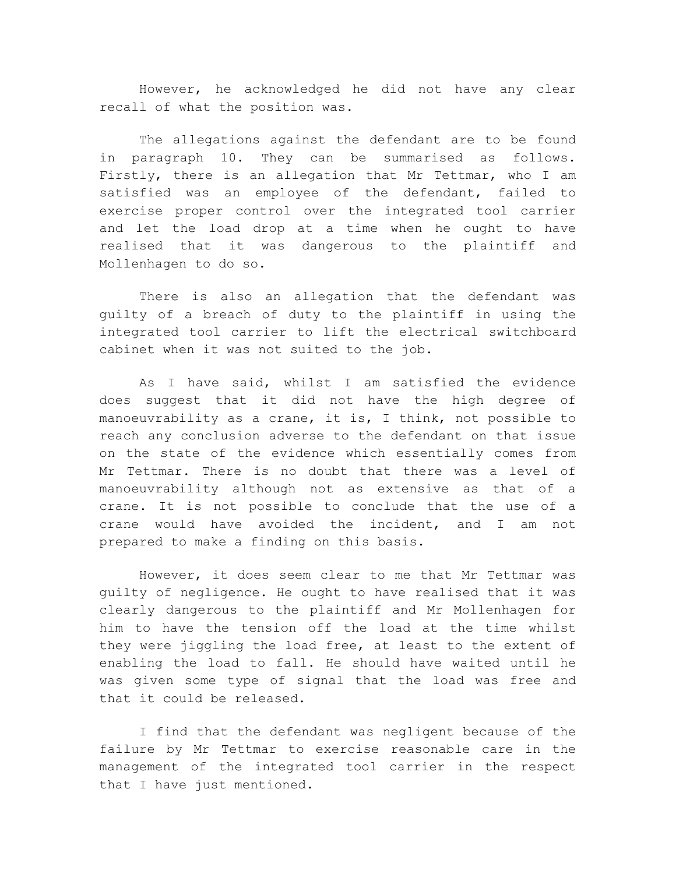However, he acknowledged he did not have any clear recall of what the position was.

The allegations against the defendant are to be found in paragraph 10. They can be summarised as follows. Firstly, there is an allegation that Mr Tettmar, who I am satisfied was an employee of the defendant, failed to exercise proper control over the integrated tool carrier and let the load drop at a time when he ought to have realised that it was dangerous to the plaintiff and Mollenhagen to do so.

There is also an allegation that the defendant was guilty of a breach of duty to the plaintiff in using the integrated tool carrier to lift the electrical switchboard cabinet when it was not suited to the job.

As I have said, whilst I am satisfied the evidence does suggest that it did not have the high degree of manoeuvrability as a crane, it is, I think, not possible to reach any conclusion adverse to the defendant on that issue on the state of the evidence which essentially comes from Mr Tettmar. There is no doubt that there was a level of manoeuvrability although not as extensive as that of a crane. It is not possible to conclude that the use of a crane would have avoided the incident, and I am not prepared to make a finding on this basis.

However, it does seem clear to me that Mr Tettmar was guilty of negligence. He ought to have realised that it was clearly dangerous to the plaintiff and Mr Mollenhagen for him to have the tension off the load at the time whilst they were jiggling the load free, at least to the extent of enabling the load to fall. He should have waited until he was given some type of signal that the load was free and that it could be released.

I find that the defendant was negligent because of the failure by Mr Tettmar to exercise reasonable care in the management of the integrated tool carrier in the respect that I have just mentioned.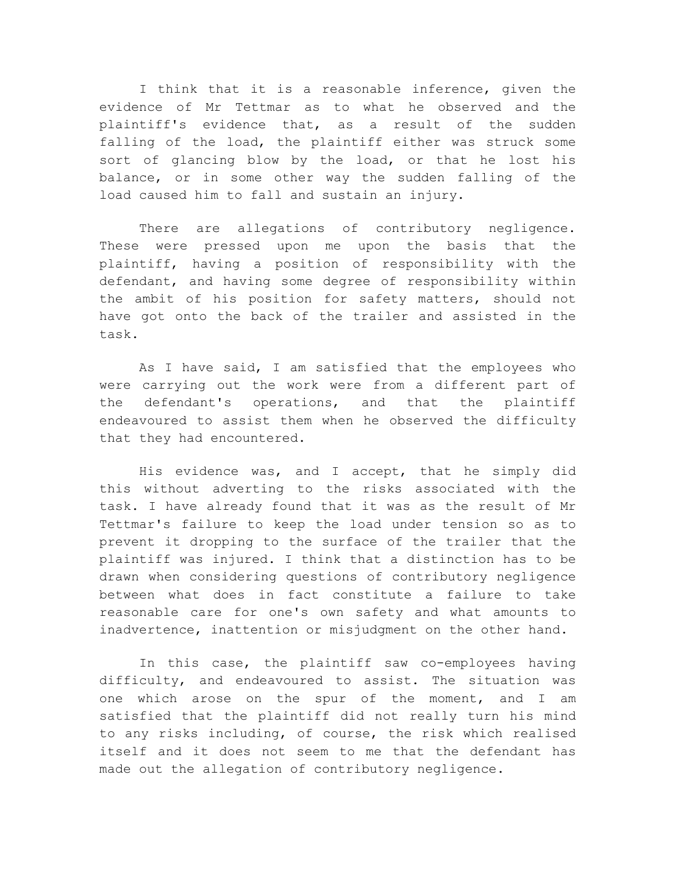I think that it is a reasonable inference, given the evidence of Mr Tettmar as to what he observed and the plaintiff's evidence that, as a result of the sudden falling of the load, the plaintiff either was struck some sort of glancing blow by the load, or that he lost his balance, or in some other way the sudden falling of the load caused him to fall and sustain an injury.

There are allegations of contributory negligence. These were pressed upon me upon the basis that the plaintiff, having a position of responsibility with the defendant, and having some degree of responsibility within the ambit of his position for safety matters, should not have got onto the back of the trailer and assisted in the task.

As I have said, I am satisfied that the employees who were carrying out the work were from a different part of the defendant's operations, and that the plaintiff endeavoured to assist them when he observed the difficulty that they had encountered.

His evidence was, and I accept, that he simply did this without adverting to the risks associated with the task. I have already found that it was as the result of Mr Tettmar's failure to keep the load under tension so as to prevent it dropping to the surface of the trailer that the plaintiff was injured. I think that a distinction has to be drawn when considering questions of contributory negligence between what does in fact constitute a failure to take reasonable care for one's own safety and what amounts to inadvertence, inattention or misjudgment on the other hand.

In this case, the plaintiff saw co-employees having difficulty, and endeavoured to assist. The situation was one which arose on the spur of the moment, and I am satisfied that the plaintiff did not really turn his mind to any risks including, of course, the risk which realised itself and it does not seem to me that the defendant has made out the allegation of contributory negligence.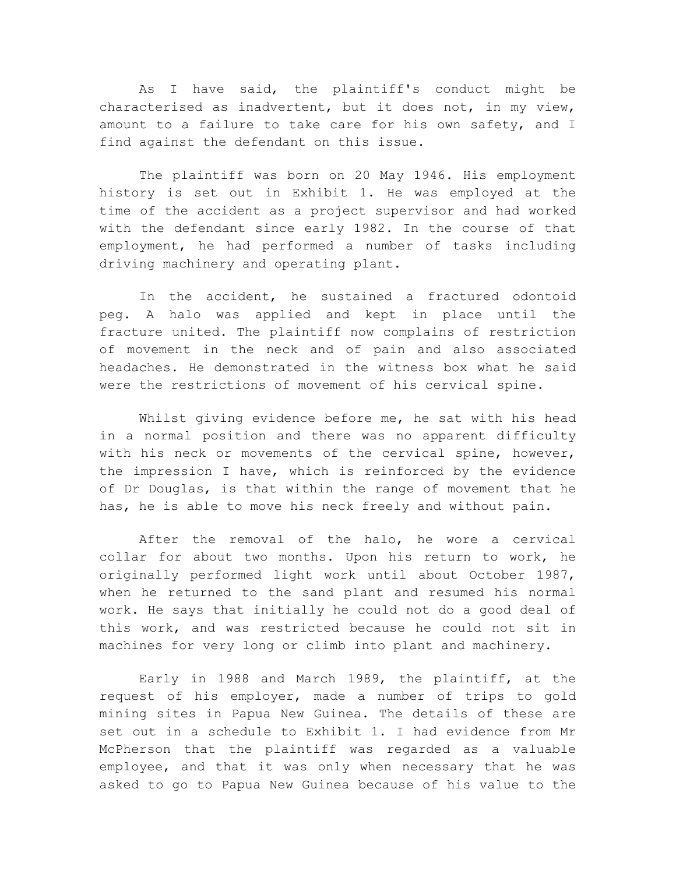As I have said, the plaintiff's conduct might be characterised as inadvertent, but it does not, in my view, amount to a failure to take care for his own safety, and I find against the defendant on this issue.

The plaintiff was born on 20 May 1946. His employment history is set out in Exhibit 1. He was employed at the time of the accident as a project supervisor and had worked with the defendant since early 1982. In the course of that employment, he had performed a number of tasks including driving machinery and operating plant.

In the accident, he sustained a fractured odontoid peg. A halo was applied and kept in place until the fracture united. The plaintiff now complains of restriction of movement in the neck and of pain and also associated headaches. He demonstrated in the witness box what he said were the restrictions of movement of his cervical spine.

Whilst giving evidence before me, he sat with his head in a normal position and there was no apparent difficulty with his neck or movements of the cervical spine, however, the impression I have, which is reinforced by the evidence of Dr Douglas, is that within the range of movement that he has, he is able to move his neck freely and without pain.

After the removal of the halo, he wore a cervical collar for about two months. Upon his return to work, he originally performed light work until about October 1987, when he returned to the sand plant and resumed his normal work. He says that initially he could not do a good deal of this work, and was restricted because he could not sit in machines for very long or climb into plant and machinery.

Early in 1988 and March 1989, the plaintiff, at the request of his employer, made a number of trips to gold mining sites in Papua New Guinea. The details of these are set out in a schedule to Exhibit 1. I had evidence from Mr McPherson that the plaintiff was regarded as a valuable employee, and that it was only when necessary that he was asked to go to Papua New Guinea because of his value to the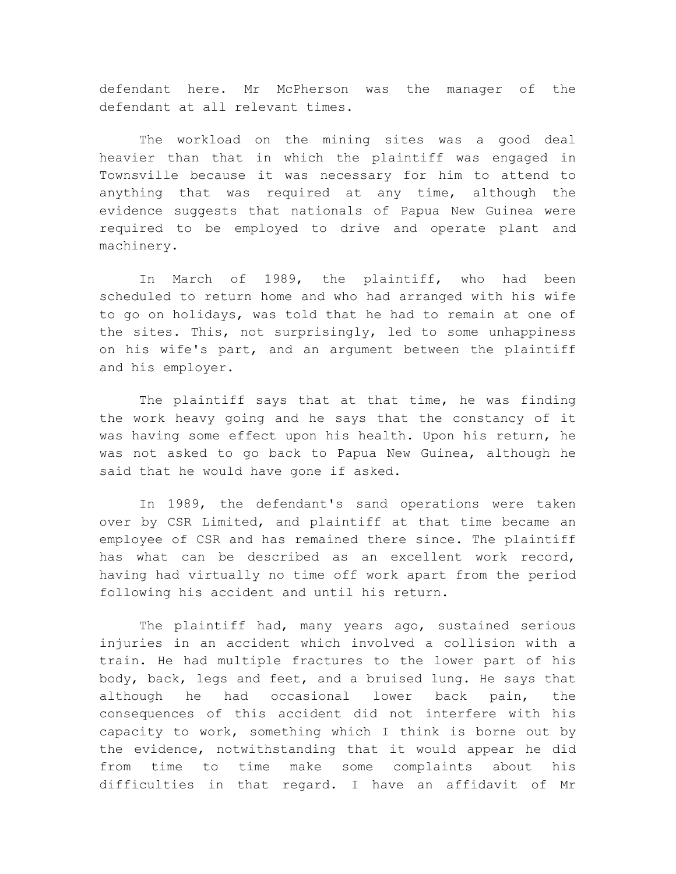defendant here. Mr McPherson was the manager of the defendant at all relevant times.

The workload on the mining sites was a good deal heavier than that in which the plaintiff was engaged in Townsville because it was necessary for him to attend to anything that was required at any time, although the evidence suggests that nationals of Papua New Guinea were required to be employed to drive and operate plant and machinery.

In March of 1989, the plaintiff, who had been scheduled to return home and who had arranged with his wife to go on holidays, was told that he had to remain at one of the sites. This, not surprisingly, led to some unhappiness on his wife's part, and an argument between the plaintiff and his employer.

The plaintiff says that at that time, he was finding the work heavy going and he says that the constancy of it was having some effect upon his health. Upon his return, he was not asked to go back to Papua New Guinea, although he said that he would have gone if asked.

In 1989, the defendant's sand operations were taken over by CSR Limited, and plaintiff at that time became an employee of CSR and has remained there since. The plaintiff has what can be described as an excellent work record, having had virtually no time off work apart from the period following his accident and until his return.

The plaintiff had, many years ago, sustained serious injuries in an accident which involved a collision with a train. He had multiple fractures to the lower part of his body, back, legs and feet, and a bruised lung. He says that although he had occasional lower back pain, the consequences of this accident did not interfere with his capacity to work, something which I think is borne out by the evidence, notwithstanding that it would appear he did from time to time make some complaints about his difficulties in that regard. I have an affidavit of Mr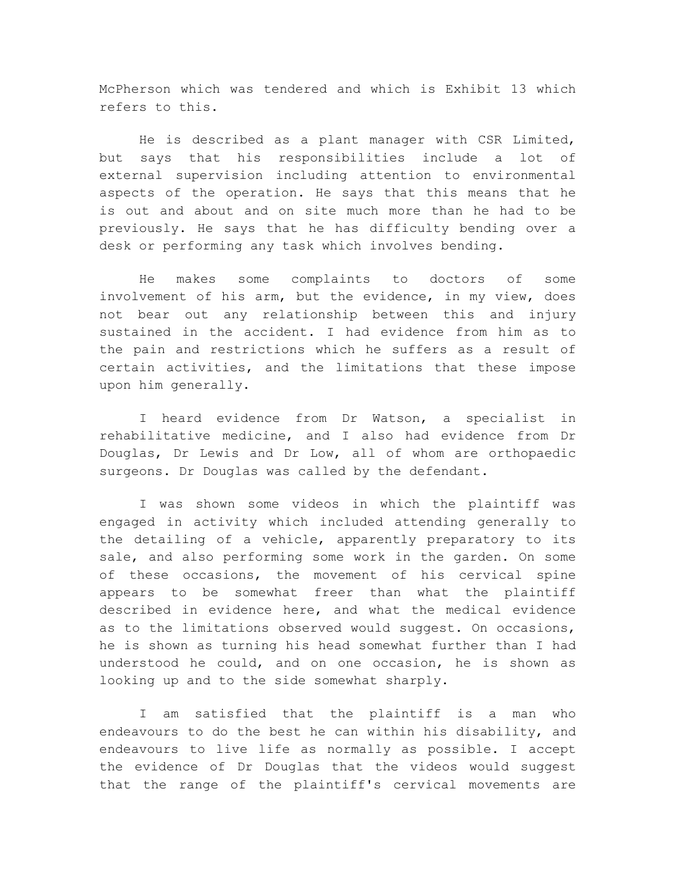McPherson which was tendered and which is Exhibit 13 which refers to this.

He is described as a plant manager with CSR Limited, but says that his responsibilities include a lot of external supervision including attention to environmental aspects of the operation. He says that this means that he is out and about and on site much more than he had to be previously. He says that he has difficulty bending over a desk or performing any task which involves bending.

He makes some complaints to doctors of some involvement of his arm, but the evidence, in my view, does not bear out any relationship between this and injury sustained in the accident. I had evidence from him as to the pain and restrictions which he suffers as a result of certain activities, and the limitations that these impose upon him generally.

I heard evidence from Dr Watson, a specialist in rehabilitative medicine, and I also had evidence from Dr Douglas, Dr Lewis and Dr Low, all of whom are orthopaedic surgeons. Dr Douglas was called by the defendant.

I was shown some videos in which the plaintiff was engaged in activity which included attending generally to the detailing of a vehicle, apparently preparatory to its sale, and also performing some work in the garden. On some of these occasions, the movement of his cervical spine appears to be somewhat freer than what the plaintiff described in evidence here, and what the medical evidence as to the limitations observed would suggest. On occasions, he is shown as turning his head somewhat further than I had understood he could, and on one occasion, he is shown as looking up and to the side somewhat sharply.

I am satisfied that the plaintiff is a man who endeavours to do the best he can within his disability, and endeavours to live life as normally as possible. I accept the evidence of Dr Douglas that the videos would suggest that the range of the plaintiff's cervical movements are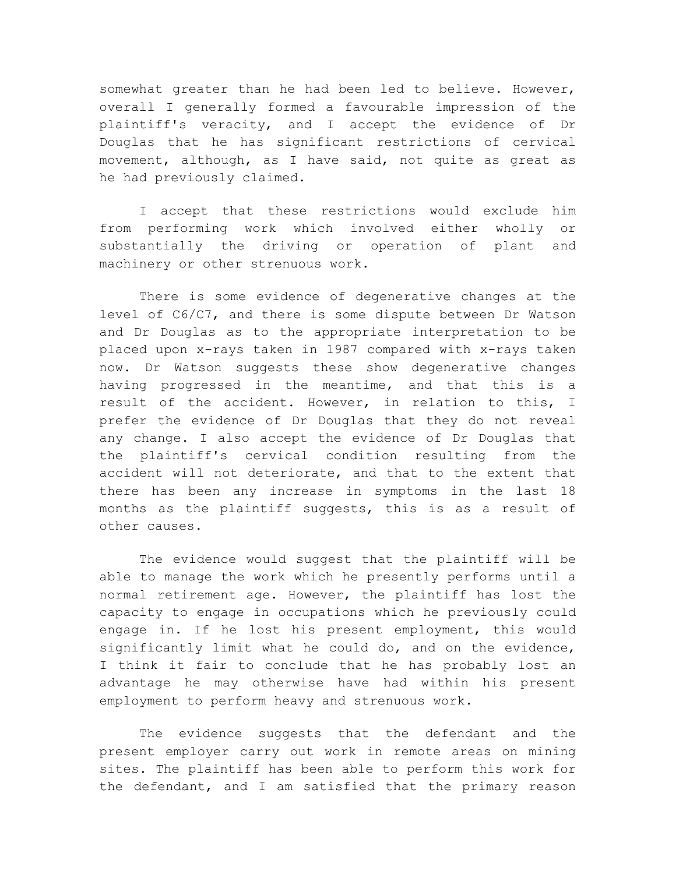somewhat greater than he had been led to believe. However, overall I generally formed a favourable impression of the plaintiff's veracity, and I accept the evidence of Dr Douglas that he has significant restrictions of cervical movement, although, as I have said, not quite as great as he had previously claimed.

I accept that these restrictions would exclude him from performing work which involved either wholly or substantially the driving or operation of plant and machinery or other strenuous work.

There is some evidence of degenerative changes at the level of C6/C7, and there is some dispute between Dr Watson and Dr Douglas as to the appropriate interpretation to be placed upon x-rays taken in 1987 compared with x-rays taken now. Dr Watson suggests these show degenerative changes having progressed in the meantime, and that this is a result of the accident. However, in relation to this, I prefer the evidence of Dr Douglas that they do not reveal any change. I also accept the evidence of Dr Douglas that the plaintiff's cervical condition resulting from the accident will not deteriorate, and that to the extent that there has been any increase in symptoms in the last 18 months as the plaintiff suggests, this is as a result of other causes.

The evidence would suggest that the plaintiff will be able to manage the work which he presently performs until a normal retirement age. However, the plaintiff has lost the capacity to engage in occupations which he previously could engage in. If he lost his present employment, this would significantly limit what he could do, and on the evidence, I think it fair to conclude that he has probably lost an advantage he may otherwise have had within his present employment to perform heavy and strenuous work.

The evidence suggests that the defendant and the present employer carry out work in remote areas on mining sites. The plaintiff has been able to perform this work for the defendant, and I am satisfied that the primary reason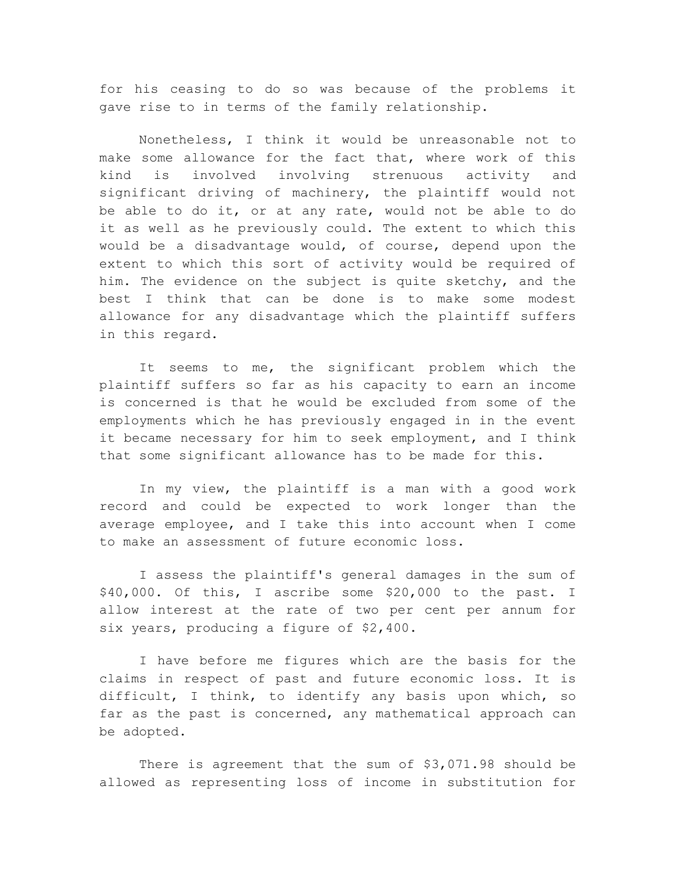for his ceasing to do so was because of the problems it gave rise to in terms of the family relationship.

Nonetheless, I think it would be unreasonable not to make some allowance for the fact that, where work of this kind is involved involving strenuous activity and significant driving of machinery, the plaintiff would not be able to do it, or at any rate, would not be able to do it as well as he previously could. The extent to which this would be a disadvantage would, of course, depend upon the extent to which this sort of activity would be required of him. The evidence on the subject is quite sketchy, and the best I think that can be done is to make some modest allowance for any disadvantage which the plaintiff suffers in this regard.

It seems to me, the significant problem which the plaintiff suffers so far as his capacity to earn an income is concerned is that he would be excluded from some of the employments which he has previously engaged in in the event it became necessary for him to seek employment, and I think that some significant allowance has to be made for this.

In my view, the plaintiff is a man with a good work record and could be expected to work longer than the average employee, and I take this into account when I come to make an assessment of future economic loss.

I assess the plaintiff's general damages in the sum of \$40,000. Of this, I ascribe some \$20,000 to the past. I allow interest at the rate of two per cent per annum for six years, producing a figure of \$2,400.

I have before me figures which are the basis for the claims in respect of past and future economic loss. It is difficult, I think, to identify any basis upon which, so far as the past is concerned, any mathematical approach can be adopted.

There is agreement that the sum of \$3,071.98 should be allowed as representing loss of income in substitution for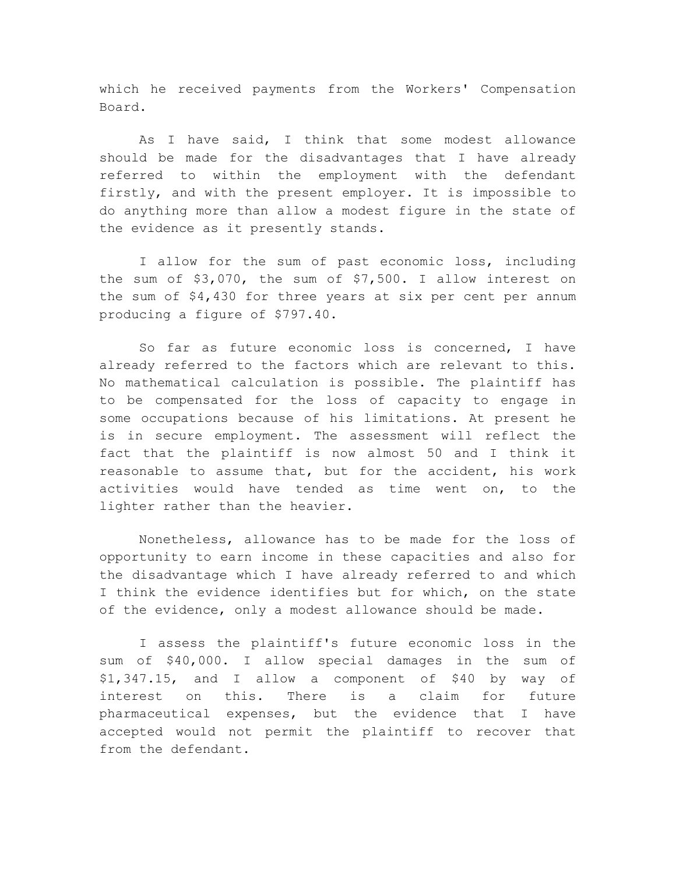which he received payments from the Workers' Compensation Board.

As I have said, I think that some modest allowance should be made for the disadvantages that I have already referred to within the employment with the defendant firstly, and with the present employer. It is impossible to do anything more than allow a modest figure in the state of the evidence as it presently stands.

I allow for the sum of past economic loss, including the sum of \$3,070, the sum of \$7,500. I allow interest on the sum of \$4,430 for three years at six per cent per annum producing a figure of \$797.40.

So far as future economic loss is concerned, I have already referred to the factors which are relevant to this. No mathematical calculation is possible. The plaintiff has to be compensated for the loss of capacity to engage in some occupations because of his limitations. At present he is in secure employment. The assessment will reflect the fact that the plaintiff is now almost 50 and I think it reasonable to assume that, but for the accident, his work activities would have tended as time went on, to the lighter rather than the heavier.

Nonetheless, allowance has to be made for the loss of opportunity to earn income in these capacities and also for the disadvantage which I have already referred to and which I think the evidence identifies but for which, on the state of the evidence, only a modest allowance should be made.

I assess the plaintiff's future economic loss in the sum of \$40,000. I allow special damages in the sum of \$1,347.15, and I allow a component of \$40 by way of interest on this. There is a claim for future pharmaceutical expenses, but the evidence that I have accepted would not permit the plaintiff to recover that from the defendant.